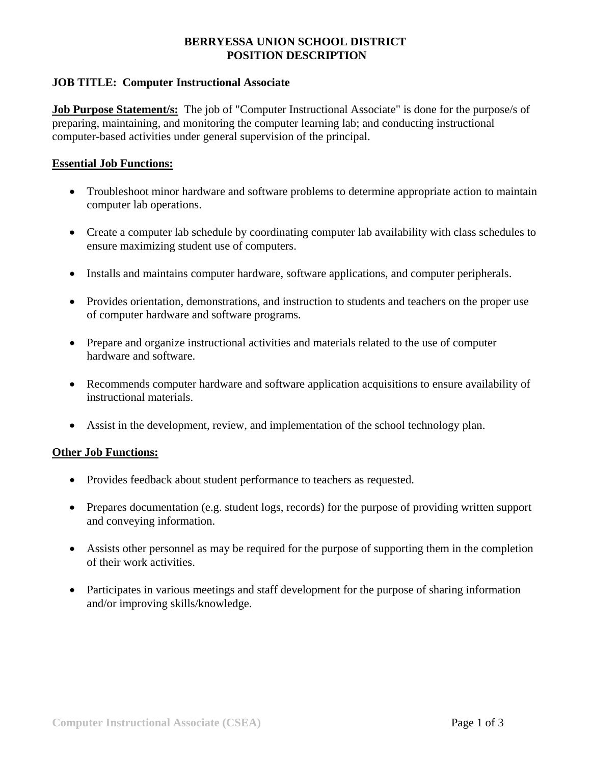## **BERRYESSA UNION SCHOOL DISTRICT POSITION DESCRIPTION**

## **JOB TITLE: Computer Instructional Associate**

**Job Purpose Statement/s:** The job of "Computer Instructional Associate" is done for the purpose/s of preparing, maintaining, and monitoring the computer learning lab; and conducting instructional computer-based activities under general supervision of the principal.

## **Essential Job Functions:**

- Troubleshoot minor hardware and software problems to determine appropriate action to maintain computer lab operations.
- Create a computer lab schedule by coordinating computer lab availability with class schedules to ensure maximizing student use of computers.
- Installs and maintains computer hardware, software applications, and computer peripherals.
- Provides orientation, demonstrations, and instruction to students and teachers on the proper use of computer hardware and software programs.
- Prepare and organize instructional activities and materials related to the use of computer hardware and software.
- Recommends computer hardware and software application acquisitions to ensure availability of instructional materials.
- Assist in the development, review, and implementation of the school technology plan.

## **Other Job Functions:**

- Provides feedback about student performance to teachers as requested.
- Prepares documentation (e.g. student logs, records) for the purpose of providing written support and conveying information.
- Assists other personnel as may be required for the purpose of supporting them in the completion of their work activities.
- Participates in various meetings and staff development for the purpose of sharing information and/or improving skills/knowledge.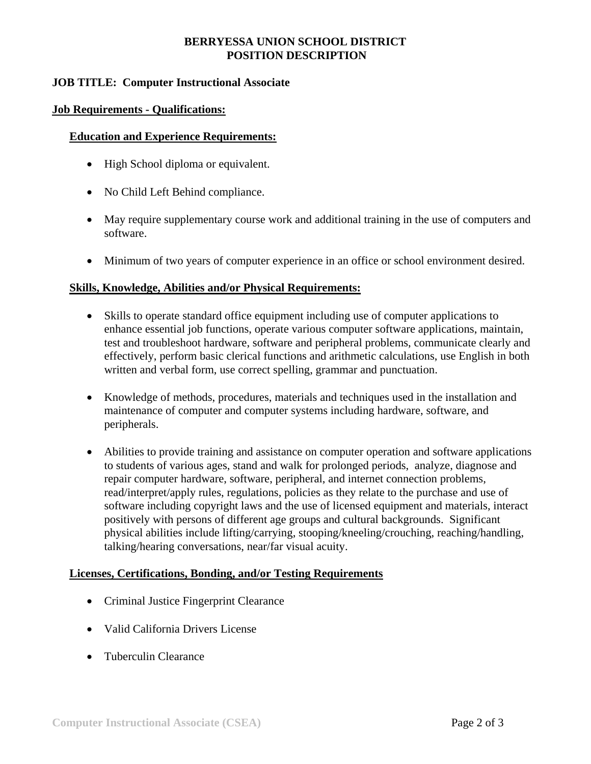## **BERRYESSA UNION SCHOOL DISTRICT POSITION DESCRIPTION**

## **JOB TITLE: Computer Instructional Associate**

### **Job Requirements - Qualifications:**

#### **Education and Experience Requirements:**

- High School diploma or equivalent.
- No Child Left Behind compliance.
- May require supplementary course work and additional training in the use of computers and software.
- Minimum of two years of computer experience in an office or school environment desired.

#### **Skills, Knowledge, Abilities and/or Physical Requirements:**

- Skills to operate standard office equipment including use of computer applications to enhance essential job functions, operate various computer software applications, maintain, test and troubleshoot hardware, software and peripheral problems, communicate clearly and effectively, perform basic clerical functions and arithmetic calculations, use English in both written and verbal form, use correct spelling, grammar and punctuation.
- Knowledge of methods, procedures, materials and techniques used in the installation and maintenance of computer and computer systems including hardware, software, and peripherals.
- Abilities to provide training and assistance on computer operation and software applications to students of various ages, stand and walk for prolonged periods, analyze, diagnose and repair computer hardware, software, peripheral, and internet connection problems, read/interpret/apply rules, regulations, policies as they relate to the purchase and use of software including copyright laws and the use of licensed equipment and materials, interact positively with persons of different age groups and cultural backgrounds. Significant physical abilities include lifting/carrying, stooping/kneeling/crouching, reaching/handling, talking/hearing conversations, near/far visual acuity.

### **Licenses, Certifications, Bonding, and/or Testing Requirements**

- Criminal Justice Fingerprint Clearance
- Valid California Drivers License
- Tuberculin Clearance